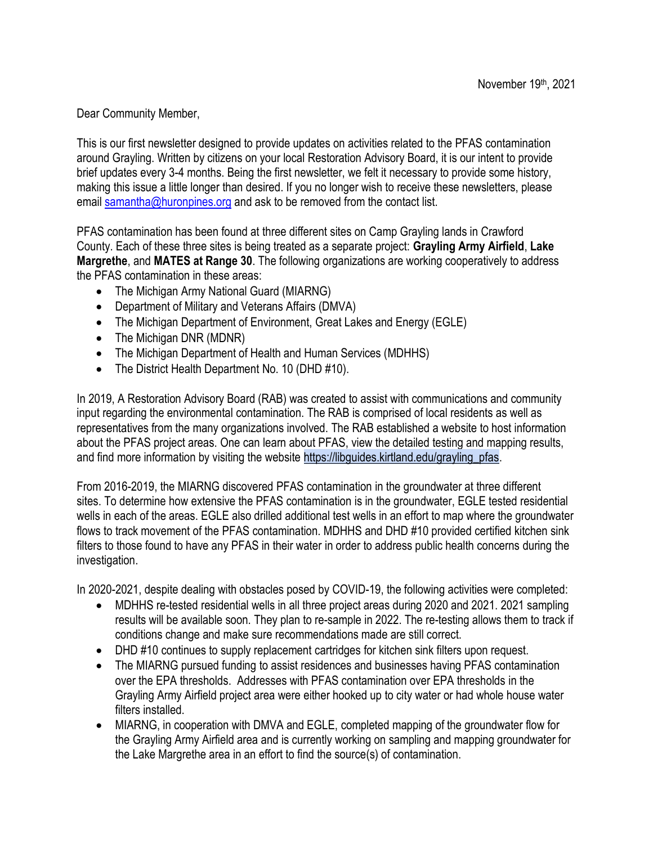Dear Community Member,

This is our first newsletter designed to provide updates on activities related to the PFAS contamination around Grayling. Written by citizens on your local Restoration Advisory Board, it is our intent to provide brief updates every 3-4 months. Being the first newsletter, we felt it necessary to provide some history, making this issue a little longer than desired. If you no longer wish to receive these newsletters, please email [samantha@huronpines.org](mailto:samantha@huronpines.org) and ask to be removed from the contact list.

PFAS contamination has been found at three different sites on Camp Grayling lands in Crawford County. Each of these three sites is being treated as a separate project: **Grayling Army Airfield**, **Lake Margrethe**, and **MATES at Range 30**. The following organizations are working cooperatively to address the PFAS contamination in these areas:

- The Michigan Army National Guard (MIARNG)
- Department of Military and Veterans Affairs (DMVA)
- The Michigan Department of Environment, Great Lakes and Energy (EGLE)
- The Michigan DNR (MDNR)
- The Michigan Department of Health and Human Services (MDHHS)
- The District Health Department No. 10 (DHD #10).

In 2019, A Restoration Advisory Board (RAB) was created to assist with communications and community input regarding the environmental contamination. The RAB is comprised of local residents as well as representatives from the many organizations involved. The RAB established a website to host information about the PFAS project areas. One can learn about PFAS, view the detailed testing and mapping results, and find more information by visiting the website [https://libguides.kirtland.edu/grayling\\_pfas.](https://libguides.kirtland.edu/grayling_pfas)

From 2016-2019, the MIARNG discovered PFAS contamination in the groundwater at three different sites. To determine how extensive the PFAS contamination is in the groundwater, EGLE tested residential wells in each of the areas. EGLE also drilled additional test wells in an effort to map where the groundwater flows to track movement of the PFAS contamination. MDHHS and DHD #10 provided certified kitchen sink filters to those found to have any PFAS in their water in order to address public health concerns during the investigation.

In 2020-2021, despite dealing with obstacles posed by COVID-19, the following activities were completed:

- MDHHS re-tested residential wells in all three project areas during 2020 and 2021. 2021 sampling results will be available soon. They plan to re-sample in 2022. The re-testing allows them to track if conditions change and make sure recommendations made are still correct.
- DHD #10 continues to supply replacement cartridges for kitchen sink filters upon request.
- The MIARNG pursued funding to assist residences and businesses having PFAS contamination over the EPA thresholds. Addresses with PFAS contamination over EPA thresholds in the Grayling Army Airfield project area were either hooked up to city water or had whole house water filters installed.
- MIARNG, in cooperation with DMVA and EGLE, completed mapping of the groundwater flow for the Grayling Army Airfield area and is currently working on sampling and mapping groundwater for the Lake Margrethe area in an effort to find the source(s) of contamination.